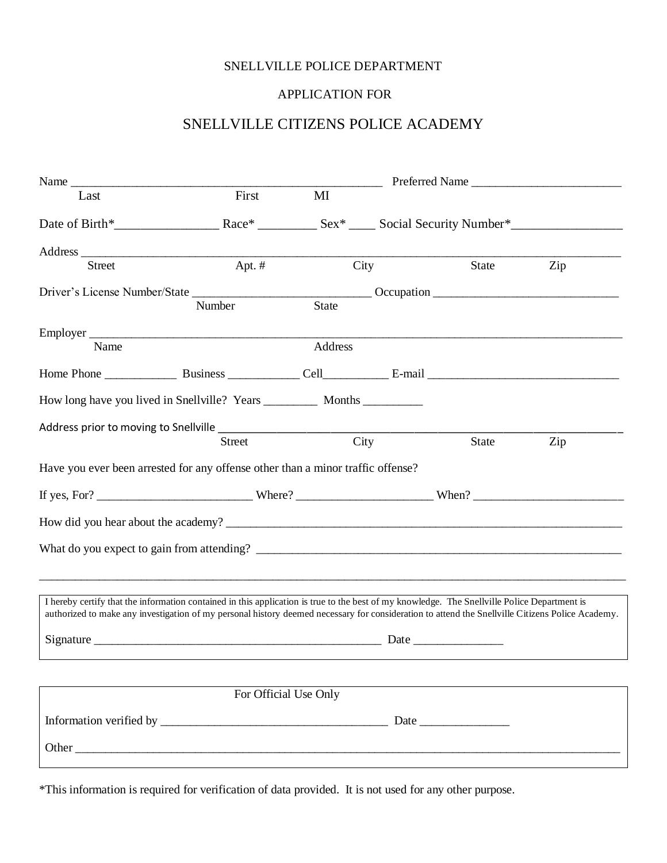### SNELLVILLE POLICE DEPARTMENT

### APPLICATION FOR

# SNELLVILLE CITIZENS POLICE ACADEMY

| Name                                                                                                                                                                                                                                                                                             |          |                       |                   |       | Preferred Name |
|--------------------------------------------------------------------------------------------------------------------------------------------------------------------------------------------------------------------------------------------------------------------------------------------------|----------|-----------------------|-------------------|-------|----------------|
| Last                                                                                                                                                                                                                                                                                             | First    | MI                    |                   |       |                |
|                                                                                                                                                                                                                                                                                                  |          |                       |                   |       |                |
|                                                                                                                                                                                                                                                                                                  |          |                       |                   |       |                |
| <b>Street</b>                                                                                                                                                                                                                                                                                    | Apt. $#$ |                       | City              | State | Zip            |
|                                                                                                                                                                                                                                                                                                  |          |                       |                   |       |                |
|                                                                                                                                                                                                                                                                                                  | Number   | State                 |                   |       |                |
| Name                                                                                                                                                                                                                                                                                             |          |                       |                   |       |                |
|                                                                                                                                                                                                                                                                                                  |          | Address               |                   |       |                |
|                                                                                                                                                                                                                                                                                                  |          |                       |                   |       |                |
|                                                                                                                                                                                                                                                                                                  |          |                       |                   |       |                |
|                                                                                                                                                                                                                                                                                                  |          |                       |                   |       |                |
|                                                                                                                                                                                                                                                                                                  | Street   |                       | $\overline{City}$ | State | Zip            |
| Have you ever been arrested for any offense other than a minor traffic offense?                                                                                                                                                                                                                  |          |                       |                   |       |                |
|                                                                                                                                                                                                                                                                                                  |          |                       |                   |       |                |
|                                                                                                                                                                                                                                                                                                  |          |                       |                   |       |                |
|                                                                                                                                                                                                                                                                                                  |          |                       |                   |       |                |
|                                                                                                                                                                                                                                                                                                  |          |                       |                   |       |                |
|                                                                                                                                                                                                                                                                                                  |          |                       |                   |       |                |
| I hereby certify that the information contained in this application is true to the best of my knowledge. The Snellville Police Department is<br>authorized to make any investigation of my personal history deemed necessary for consideration to attend the Snellville Citizens Police Academy. |          |                       |                   |       |                |
|                                                                                                                                                                                                                                                                                                  |          |                       |                   |       |                |
|                                                                                                                                                                                                                                                                                                  |          |                       |                   |       |                |
|                                                                                                                                                                                                                                                                                                  |          |                       |                   |       |                |
|                                                                                                                                                                                                                                                                                                  |          | For Official Use Only |                   |       |                |
|                                                                                                                                                                                                                                                                                                  |          |                       |                   |       |                |
| Other <u>and the series of the series of the series of the series of the series of the series of the series of the series of the series of the series of the series of the series of the series of the series of the series of t</u>                                                             |          |                       |                   |       |                |

\*This information is required for verification of data provided. It is not used for any other purpose.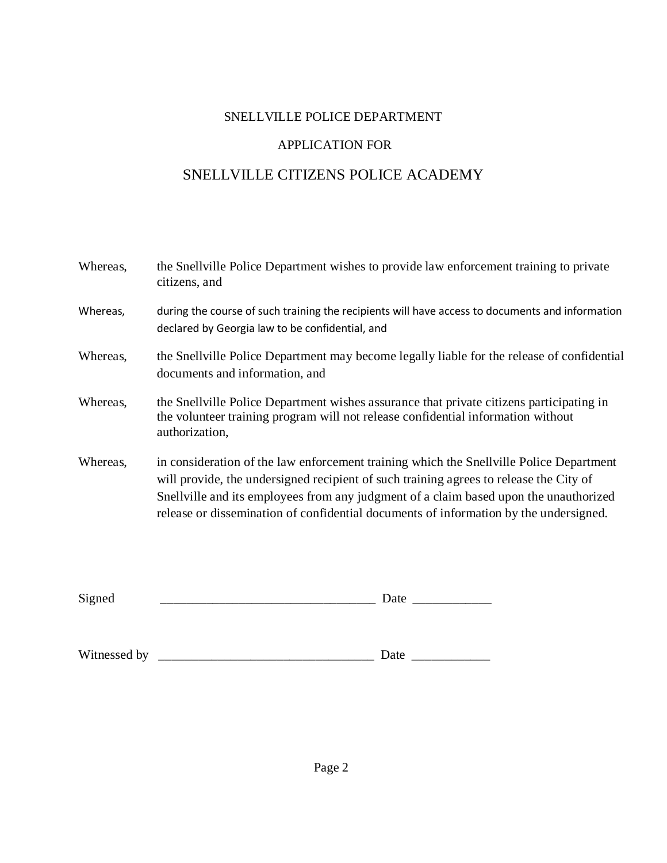## SNELLVILLE POLICE DEPARTMENT

## APPLICATION FOR

# SNELLVILLE CITIZENS POLICE ACADEMY

| Whereas, | the Snellville Police Department wishes to provide law enforcement training to private<br>citizens, and                                                                                                                                                                                                                                                             |
|----------|---------------------------------------------------------------------------------------------------------------------------------------------------------------------------------------------------------------------------------------------------------------------------------------------------------------------------------------------------------------------|
| Whereas, | during the course of such training the recipients will have access to documents and information<br>declared by Georgia law to be confidential, and                                                                                                                                                                                                                  |
| Whereas, | the Snellville Police Department may become legally liable for the release of confidential<br>documents and information, and                                                                                                                                                                                                                                        |
| Whereas, | the Snellville Police Department wishes assurance that private citizens participating in<br>the volunteer training program will not release confidential information without<br>authorization,                                                                                                                                                                      |
| Whereas, | in consideration of the law enforcement training which the Snellville Police Department<br>will provide, the undersigned recipient of such training agrees to release the City of<br>Snellville and its employees from any judgment of a claim based upon the unauthorized<br>release or dissemination of confidential documents of information by the undersigned. |

| $\mathbf{C}$<br>້ | uw<br>- |
|-------------------|---------|
|-------------------|---------|

| Witnessed by |  |  |  |
|--------------|--|--|--|
|--------------|--|--|--|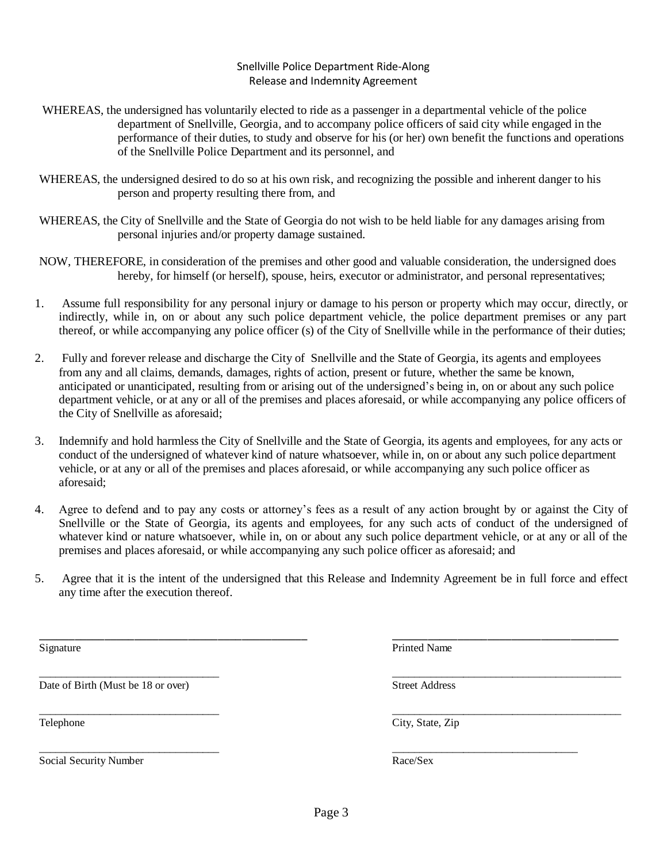$\frac{1}{2}$  , the contribution of the contribution of the contribution of the contribution of the contribution of the contribution of the contribution of the contribution of the contribution of the contribution of the contr

#### Snellville Police Department Ride-Along Release and Indemnity Agreement

- WHEREAS, the undersigned has voluntarily elected to ride as a passenger in a departmental vehicle of the police department of Snellville, Georgia, and to accompany police officers of said city while engaged in the performance of their duties, to study and observe for his (or her) own benefit the functions and operations of the Snellville Police Department and its personnel, and
- WHEREAS, the undersigned desired to do so at his own risk, and recognizing the possible and inherent danger to his person and property resulting there from, and
- WHEREAS, the City of Snellville and the State of Georgia do not wish to be held liable for any damages arising from personal injuries and/or property damage sustained.
- NOW, THEREFORE, in consideration of the premises and other good and valuable consideration, the undersigned does hereby, for himself (or herself), spouse, heirs, executor or administrator, and personal representatives;
- 1. Assume full responsibility for any personal injury or damage to his person or property which may occur, directly, or indirectly, while in, on or about any such police department vehicle, the police department premises or any part thereof, or while accompanying any police officer (s) of the City of Snellville while in the performance of their duties;
- 2. Fully and forever release and discharge the City of Snellville and the State of Georgia, its agents and employees from any and all claims, demands, damages, rights of action, present or future, whether the same be known, anticipated or unanticipated, resulting from or arising out of the undersigned's being in, on or about any such police department vehicle, or at any or all of the premises and places aforesaid, or while accompanying any police officers of the City of Snellville as aforesaid;
- 3. Indemnify and hold harmless the City of Snellville and the State of Georgia, its agents and employees, for any acts or conduct of the undersigned of whatever kind of nature whatsoever, while in, on or about any such police department vehicle, or at any or all of the premises and places aforesaid, or while accompanying any such police officer as aforesaid;
- 4. Agree to defend and to pay any costs or attorney's fees as a result of any action brought by or against the City of Snellville or the State of Georgia, its agents and employees, for any such acts of conduct of the undersigned of whatever kind or nature whatsoever, while in, on or about any such police department vehicle, or at any or all of the premises and places aforesaid, or while accompanying any such police officer as aforesaid; and
- 5. Agree that it is the intent of the undersigned that this Release and Indemnity Agreement be in full force and effect any time after the execution thereof.

\_\_\_\_\_\_\_\_\_\_\_\_\_\_\_\_\_\_\_\_\_\_\_\_\_\_\_\_\_\_\_\_\_\_\_\_\_\_\_\_\_\_\_\_\_ \_\_\_\_\_\_\_\_\_\_\_\_\_\_\_\_\_\_\_\_\_\_\_\_\_\_\_\_\_\_\_\_\_\_\_\_\_\_

Date of Birth (Must be 18 or over) Street Address

Social Security Number Race/Sex

\_\_\_\_\_\_\_\_\_\_\_\_\_\_\_\_\_\_\_\_\_\_\_\_\_\_\_\_\_\_\_\_\_ \_\_\_\_\_\_\_\_\_\_\_\_\_\_\_\_\_\_\_\_\_\_\_\_\_\_\_\_\_\_\_\_\_\_\_\_\_\_\_\_\_\_

\_\_\_\_\_\_\_\_\_\_\_\_\_\_\_\_\_\_\_\_\_\_\_\_\_\_\_\_\_\_\_\_\_ \_\_\_\_\_\_\_\_\_\_\_\_\_\_\_\_\_\_\_\_\_\_\_\_\_\_\_\_\_\_\_\_\_\_\_\_\_\_\_\_\_\_ Telephone City, State, Zip

Signature Printed Name Printed Name